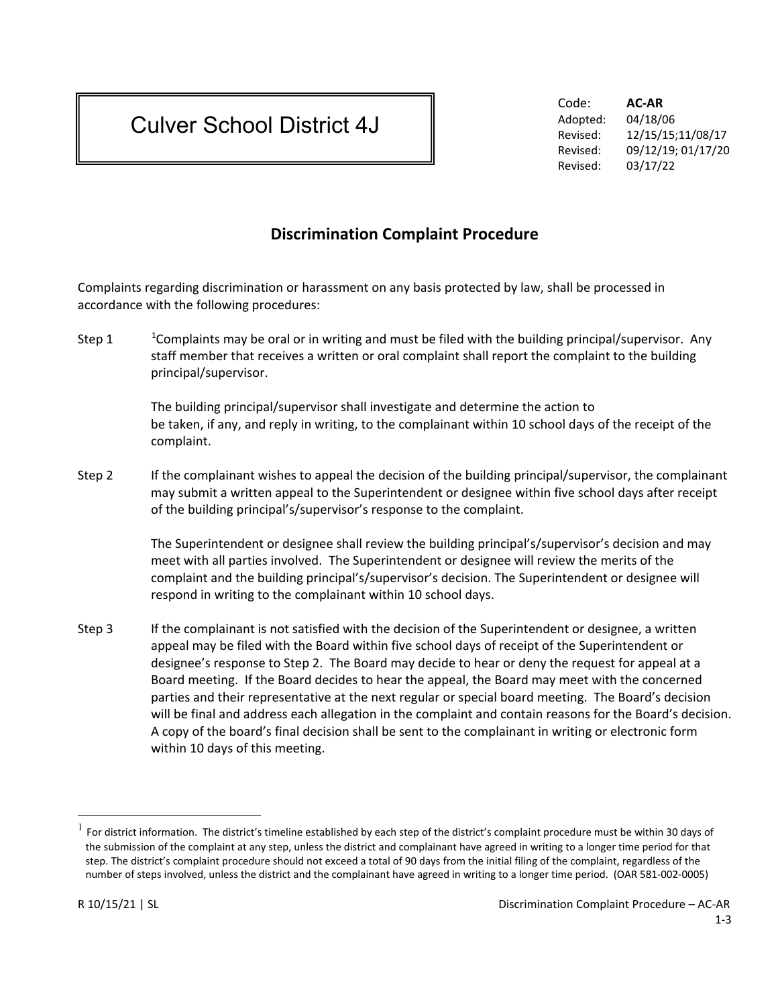## Culver School District 4J

Code: **AC-AR** Adopted: 04/18/06 Revised: 12/15/15;11/08/17 Revised: 09/12/19; 01/17/20 Revised: 03/17/22

## **Discrimination Complaint Procedure**

Complaints regarding discrimination or harassment on any basis protected by law, shall be processed in accordance with the following procedures:

Step [1](#page-0-0) <sup>1</sup> Complaints may be oral or in writing and must be filed with the building principal/supervisor. Any staff member that receives a written or oral complaint shall report the complaint to the building principal/supervisor.

> The building principal/supervisor shall investigate and determine the action to be taken, if any, and reply in writing, to the complainant within 10 school days of the receipt of the complaint.

Step 2 If the complainant wishes to appeal the decision of the building principal/supervisor, the complainant may submit a written appeal to the Superintendent or designee within five school days after receipt of the building principal's/supervisor's response to the complaint.

> The Superintendent or designee shall review the building principal's/supervisor's decision and may meet with all parties involved. The Superintendent or designee will review the merits of the complaint and the building principal's/supervisor's decision. The Superintendent or designee will respond in writing to the complainant within 10 school days.

Step 3 If the complainant is not satisfied with the decision of the Superintendent or designee, a written appeal may be filed with the Board within five school days of receipt of the Superintendent or designee's response to Step 2. The Board may decide to hear or deny the request for appeal at a Board meeting. If the Board decides to hear the appeal, the Board may meet with the concerned parties and their representative at the next regular or special board meeting. The Board's decision will be final and address each allegation in the complaint and contain reasons for the Board's decision. A copy of the board's final decision shall be sent to the complainant in writing or electronic form within 10 days of this meeting.

<span id="page-0-0"></span> <sup>1</sup> For district information. The district's timeline established by each step of the district's complaint procedure must be within 30 days of the submission of the complaint at any step, unless the district and complainant have agreed in writing to a longer time period for that step. The district's complaint procedure should not exceed a total of 90 days from the initial filing of the complaint, regardless of the number of steps involved, unless the district and the complainant have agreed in writing to a longer time period. (OAR 581-002-0005)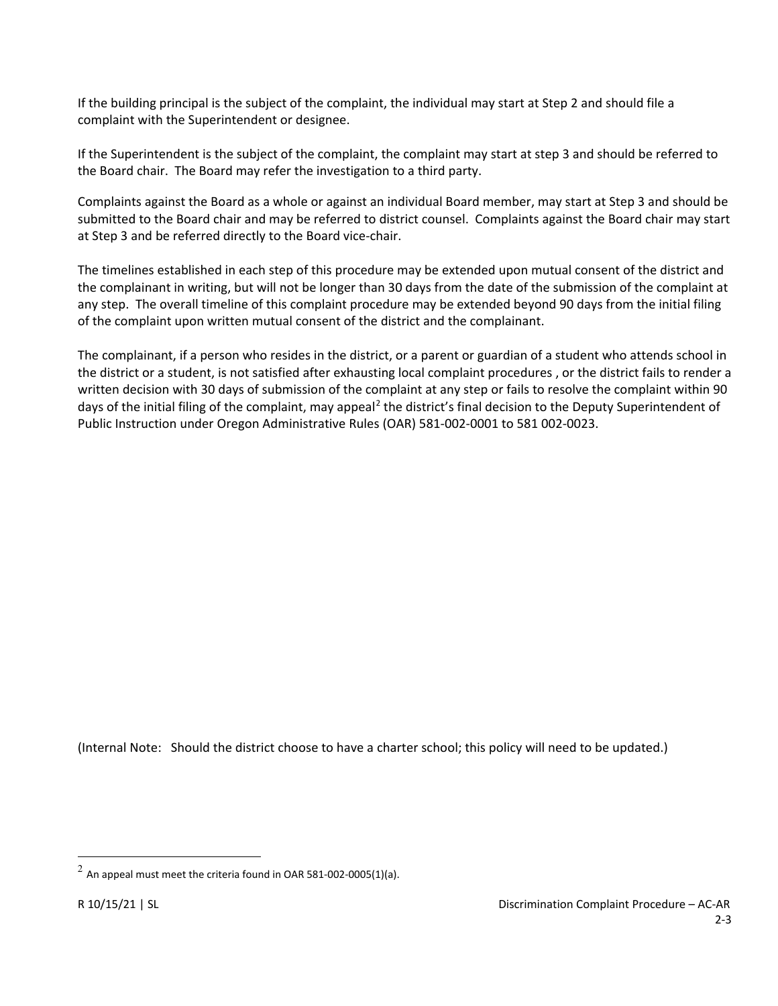If the building principal is the subject of the complaint, the individual may start at Step 2 and should file a complaint with the Superintendent or designee.

If the Superintendent is the subject of the complaint, the complaint may start at step 3 and should be referred to the Board chair. The Board may refer the investigation to a third party.

Complaints against the Board as a whole or against an individual Board member, may start at Step 3 and should be submitted to the Board chair and may be referred to district counsel. Complaints against the Board chair may start at Step 3 and be referred directly to the Board vice-chair.

The timelines established in each step of this procedure may be extended upon mutual consent of the district and the complainant in writing, but will not be longer than 30 days from the date of the submission of the complaint at any step. The overall timeline of this complaint procedure may be extended beyond 90 days from the initial filing of the complaint upon written mutual consent of the district and the complainant.

The complainant, if a person who resides in the district, or a parent or guardian of a student who attends school in the district or a student, is not satisfied after exhausting local complaint procedures , or the district fails to render a written decision with 30 days of submission of the complaint at any step or fails to resolve the complaint within 90 days of the initial filing of the complaint, may appeal<sup>[2](#page-1-0)</sup> the district's final decision to the Deputy Superintendent of Public Instruction under Oregon Administrative Rules (OAR) 581-002-0001 to 581 002-0023.

(Internal Note: Should the district choose to have a charter school; this policy will need to be updated.)

<span id="page-1-0"></span> $^2$  An appeal must meet the criteria found in OAR 581-002-0005(1)(a).